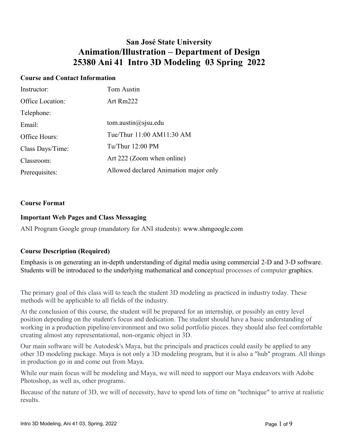## **San José State University Animation/Illustration – Department of Design 25380 Ani 41 Intro 3D Modeling 03 Spring 2022**

#### **Course and Contact Information**

| Instructor:      | Tom Austin                            |
|------------------|---------------------------------------|
| Office Location: | Art $Rm222$                           |
| Telephone:       |                                       |
| Email:           | tom.austin $\omega$ sjsu.edu          |
| Office Hours:    | Tue/Thur 11:00 AM11:30 AM             |
| Class Days/Time: | Tu/Thur $12:00$ PM                    |
| Classroom:       | Art 222 (Zoom when online)            |
| Prerequisites:   | Allowed declared Animation major only |

#### **Course Format**

#### **Important Web Pages and Class Messaging**

ANI Program Google group (mandatory for ANI students): www.shmgoogle.com

#### **Course Description (Required)**

Emphasis is on generating an in-depth understanding of digital media using commercial 2-D and 3-D software. Students will be introduced to the underlying mathematical and conceptual processes of computer graphics.

The primary goal of this class will to teach the student 3D modeling as practiced in industry today. These methods will be applicable to all fields of the industry.

At the conclusion of this course, the student will be prepared for an internship, or possibly an entry level position depending on the student's focus and dedication. The student should have a basic understanding of working in a production pipeline/environment and two solid portfolio pieces. they should also feel comfortable creating almost any representational, non-organic object in 3D.

Our main software will be Autodesk's Maya, but the principals and practices could easily be applied to any other 3D modeling package. Maya is not only a 3D modeling program, but it is also a "hub" program. All things in production go in and come out from Maya.

While our main focus will be modeling and Maya, we will need to support our Maya endeavors with Adobe Photoshop, as well as, other programs.

Because of the nature of 3D, we will of necessity, have to spend lots of time on "technique" to arrive at realistic results.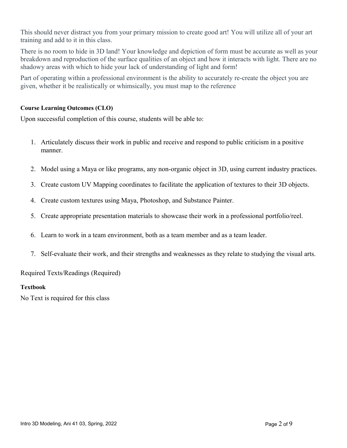This should never distract you from your primary mission to create good art! You will utilize all of your art training and add to it in this class.

There is no room to hide in 3D land! Your knowledge and depiction of form must be accurate as well as your breakdown and reproduction of the surface qualities of an object and how it interacts with light. There are no shadowy areas with which to hide your lack of understanding of light and form!

Part of operating within a professional environment is the ability to accurately re-create the object you are given, whether it be realistically or whimsically, you must map to the reference

#### **Course Learning Outcomes (CLO)**

Upon successful completion of this course, students will be able to:

- 1. Articulately discuss their work in public and receive and respond to public criticism in a positive manner.
- 2. Model using a Maya or like programs, any non-organic object in 3D, using current industry practices.
- 3. Create custom UV Mapping coordinates to facilitate the application of textures to their 3D objects.
- 4. Create custom textures using Maya, Photoshop, and Substance Painter.
- 5. Create appropriate presentation materials to showcase their work in a professional portfolio/reel.
- 6. Learn to work in a team environment, both as a team member and as a team leader.
- 7. Self-evaluate their work, and their strengths and weaknesses as they relate to studying the visual arts.

Required Texts/Readings (Required)

#### **Textbook**

No Text is required for this class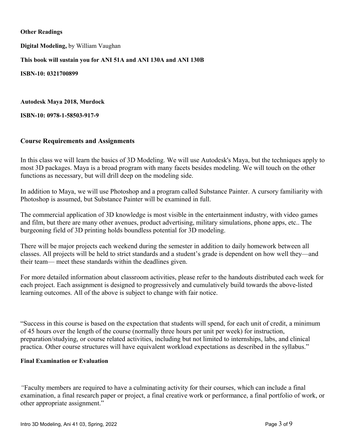#### **Other Readings**

**Digital Modeling,** by William Vaughan

**This book will sustain you for ANI 51A and ANI 130A and ANI 130B**

**ISBN-10: 0321700899**

**Autodesk Maya 2018, Murdock**

**ISBN-10: 0978-1-58503-917-9**

#### **Course Requirements and Assignments**

In this class we will learn the basics of 3D Modeling. We will use Autodesk's Maya, but the techniques apply to most 3D packages. Maya is a broad program with many facets besides modeling. We will touch on the other functions as necessary, but will drill deep on the modeling side.

In addition to Maya, we will use Photoshop and a program called Substance Painter. A cursory familiarity with Photoshop is assumed, but Substance Painter will be examined in full.

The commercial application of 3D knowledge is most visible in the entertainment industry, with video games and film, but there are many other avenues, product advertising, military simulations, phone apps, etc.. The burgeoning field of 3D printing holds boundless potential for 3D modeling.

There will be major projects each weekend during the semester in addition to daily homework between all classes. All projects will be held to strict standards and a student's grade is dependent on how well they—and their team— meet these standards within the deadlines given.

For more detailed information about classroom activities, please refer to the handouts distributed each week for each project. Each assignment is designed to progressively and cumulatively build towards the above-listed learning outcomes. All of the above is subject to change with fair notice.

"Success in this course is based on the expectation that students will spend, for each unit of credit, a minimum of 45 hours over the length of the course (normally three hours per unit per week) for instruction, preparation/studying, or course related activities, including but not limited to internships, labs, and clinical practica. Other course structures will have equivalent workload expectations as described in the syllabus."

#### **Final Examination or Evaluation**

*"*Faculty members are required to have a culminating activity for their courses, which can include a final examination, a final research paper or project, a final creative work or performance, a final portfolio of work, or other appropriate assignment."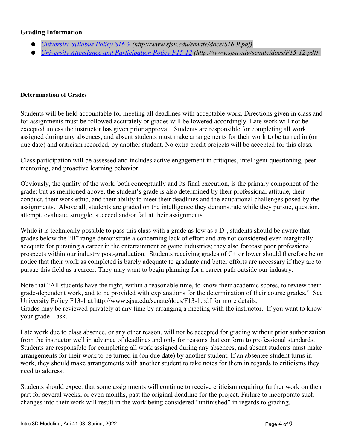#### **Grading Information**

- *[University Syllabus Policy S16-9](http://www.sjsu.edu/senate/docs/S16-9.pdf) (http://www.sjsu.edu/senate/docs/S16-9.pdf)*
- *[University Attendance and Participation Policy F15-12](about:blank) (http://www.sjsu.edu/senate/docs/F15-12.pdf)*

#### **Determination of Grades**

Students will be held accountable for meeting all deadlines with acceptable work. Directions given in class and for assignments must be followed accurately or grades will be lowered accordingly. Late work will not be excepted unless the instructor has given prior approval. Students are responsible for completing all work assigned during any absences, and absent students must make arrangements for their work to be turned in (on due date) and criticism recorded, by another student. No extra credit projects will be accepted for this class.

Class participation will be assessed and includes active engagement in critiques, intelligent questioning, peer mentoring, and proactive learning behavior.

Obviously, the quality of the work, both conceptually and its final execution, is the primary component of the grade; but as mentioned above, the student's grade is also determined by their professional attitude, their conduct, their work ethic, and their ability to meet their deadlines and the educational challenges posed by the assignments. Above all, students are graded on the intelligence they demonstrate while they pursue, question, attempt, evaluate, struggle, succeed and/or fail at their assignments.

While it is technically possible to pass this class with a grade as low as a D-, students should be aware that grades below the "B" range demonstrate a concerning lack of effort and are not considered even marginally adequate for pursuing a career in the entertainment or game industries; they also forecast poor professional prospects within our industry post-graduation. Students receiving grades of C+ or lower should therefore be on notice that their work as completed is barely adequate to graduate and better efforts are necessary if they are to pursue this field as a career. They may want to begin planning for a career path outside our industry.

Note that "All students have the right, within a reasonable time, to know their academic scores, to review their grade-dependent work, and to be provided with explanations for the determination of their course grades." See University Policy F13-1 at http://www.sjsu.edu/senate/docs/F13-1.pdf for more details. Grades may be reviewed privately at any time by arranging a meeting with the instructor. If you want to know your grade—ask.

Late work due to class absence, or any other reason, will not be accepted for grading without prior authorization from the instructor well in advance of deadlines and only for reasons that conform to professional standards. Students are responsible for completing all work assigned during any absences, and absent students must make arrangements for their work to be turned in (on due date) by another student. If an absentee student turns in work, they should make arrangements with another student to take notes for them in regards to criticisms they need to address.

Students should expect that some assignments will continue to receive criticism requiring further work on their part for several weeks, or even months, past the original deadline for the project. Failure to incorporate such changes into their work will result in the work being considered "unfinished" in regards to grading.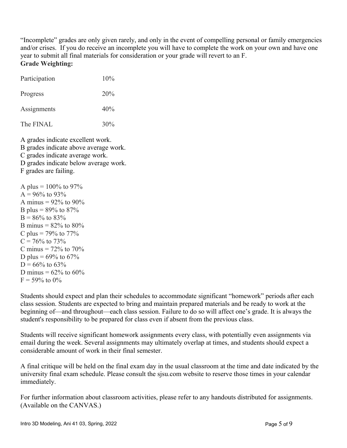"Incomplete" grades are only given rarely, and only in the event of compelling personal or family emergencies and/or crises. If you do receive an incomplete you will have to complete the work on your own and have one year to submit all final materials for consideration or your grade will revert to an F. **Grade Weighting:**

| Participation | 10% |
|---------------|-----|
| Progress      | 20% |
| Assignments   | 40% |
| The FINAL     | 30% |

A grades indicate excellent work. B grades indicate above average work. C grades indicate average work. D grades indicate below average work. F grades are failing.

A plus =  $100\%$  to 97%  $A = 96\%$  to 93% A minus =  $92\%$  to  $90\%$ B plus =  $89\%$  to  $87\%$  $B = 86\%$  to 83% B minus =  $82\%$  to  $80\%$ C plus =  $79\%$  to  $77\%$  $C = 76\%$  to  $73\%$ C minus =  $72\%$  to  $70\%$ D plus =  $69\%$  to  $67\%$  $D = 66\%$  to 63\% D minus =  $62\%$  to  $60\%$  $F = 59\%$  to 0%

Students should expect and plan their schedules to accommodate significant "homework" periods after each class session. Students are expected to bring and maintain prepared materials and be ready to work at the beginning of—and throughout—each class session. Failure to do so will affect one's grade. It is always the student's responsibility to be prepared for class even if absent from the previous class.

Students will receive significant homework assignments every class, with potentially even assignments via email during the week. Several assignments may ultimately overlap at times, and students should expect a considerable amount of work in their final semester.

A final critique will be held on the final exam day in the usual classroom at the time and date indicated by the university final exam schedule. Please consult the sjsu.com website to reserve those times in your calendar immediately.

For further information about classroom activities, please refer to any handouts distributed for assignments. (Available on the CANVAS.)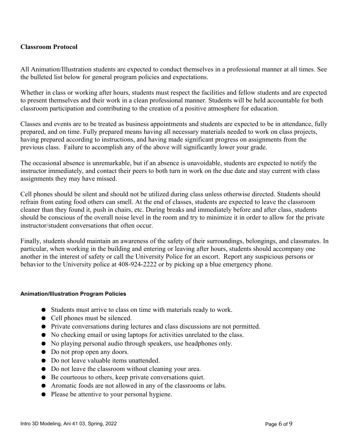#### **Classroom Protocol**

All Animation/Illustration students are expected to conduct themselves in a professional manner at all times. See the bulleted list below for general program policies and expectations.

Whether in class or working after hours, students must respect the facilities and fellow students and are expected to present themselves and their work in a clean professional manner. Students will be held accountable for both classroom participation and contributing to the creation of a positive atmosphere for education.

Classes and events are to be treated as business appointments and students are expected to be in attendance, fully prepared, and on time. Fully prepared means having all necessary materials needed to work on class projects, having prepared according to instructions, and having made significant progress on assignments from the previous class. Failure to accomplish any of the above will significantly lower your grade.

The occasional absence is unremarkable, but if an absence is unavoidable, students are expected to notify the instructor immediately, and contact their peers to both turn in work on the due date and stay current with class assignments they may have missed.

Cell phones should be silent and should not be utilized during class unless otherwise directed. Students should refrain from eating food others can smell. At the end of classes, students are expected to leave the classroom cleaner than they found it, push in chairs, etc. During breaks and immediately before and after class, students should be conscious of the overall noise level in the room and try to minimize it in order to allow for the private instructor/student conversations that often occur.

Finally, students should maintain an awareness of the safety of their surroundings, belongings, and classmates. In particular, when working in the building and entering or leaving after hours, students should accompany one another in the interest of safety or call the University Police for an escort. Report any suspicious persons or behavior to the University police at 408-924-2222 or by picking up a blue emergency phone.

#### **Animation/Illustration Program Policies**

- Students must arrive to class on time with materials ready to work.
- Cell phones must be silenced.
- Private conversations during lectures and class discussions are not permitted.
- No checking email or using laptops for activities unrelated to the class.
- No playing personal audio through speakers, use headphones only.
- Do not prop open any doors.
- Do not leave valuable items unattended.
- Do not leave the classroom without cleaning your area.
- Be courteous to others, keep private conversations quiet.
- Aromatic foods are not allowed in any of the classrooms or labs.
- Please be attentive to your personal hygiene.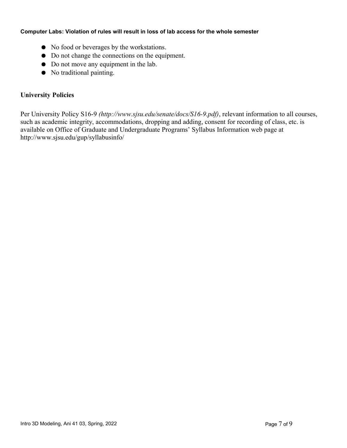#### **Computer Labs: Violation of rules will result in loss of lab access for the whole semester**

- No food or beverages by the workstations.
- Do not change the connections on the equipment.
- Do not move any equipment in the lab.
- No traditional painting.

#### **University Policies**

Per University Policy S16-9 *(http://www.sjsu.edu/senate/docs/S16-9.pdf)*, relevant information to all courses, such as academic integrity, accommodations, dropping and adding, consent for recording of class, etc. is available on Office of Graduate and Undergraduate Programs' Syllabus Information web page at http://www.sjsu.edu/gup/syllabusinfo/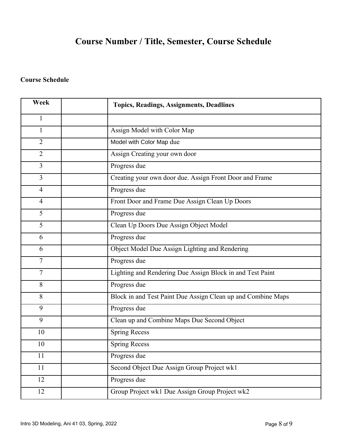# **Course Number / Title, Semester, Course Schedule**

### **Course Schedule**

| Week           | <b>Topics, Readings, Assignments, Deadlines</b>              |
|----------------|--------------------------------------------------------------|
| $\mathbf{1}$   |                                                              |
| $\mathbf{1}$   | Assign Model with Color Map                                  |
| $\overline{2}$ | Model with Color Map due                                     |
| $\overline{2}$ | Assign Creating your own door                                |
| $\overline{3}$ | Progress due                                                 |
| $\overline{3}$ | Creating your own door due. Assign Front Door and Frame      |
| $\overline{4}$ | Progress due                                                 |
| $\overline{4}$ | Front Door and Frame Due Assign Clean Up Doors               |
| 5              | Progress due                                                 |
| 5              | Clean Up Doors Due Assign Object Model                       |
| 6              | Progress due                                                 |
| 6              | Object Model Due Assign Lighting and Rendering               |
| 7              | Progress due                                                 |
| 7              | Lighting and Rendering Due Assign Block in and Test Paint    |
| 8              | Progress due                                                 |
| 8              | Block in and Test Paint Due Assign Clean up and Combine Maps |
| 9              | Progress due                                                 |
| 9              | Clean up and Combine Maps Due Second Object                  |
| 10             | <b>Spring Recess</b>                                         |
| 10             | <b>Spring Recess</b>                                         |
| 11             | Progress due                                                 |
| 11             | Second Object Due Assign Group Project wk1                   |
| 12             | Progress due                                                 |
| 12             | Group Project wk1 Due Assign Group Project wk2               |